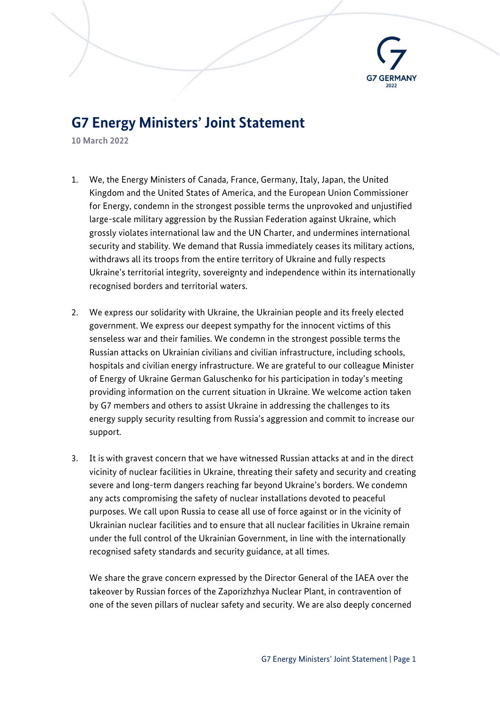

## G7 Energy Ministers' Joint Statement

10 March 2022

- 1. We, the Energy Ministers of Canada, France, Germany, Italy, Japan, the United Kingdom and the United States of America, and the European Union Commissioner for Energy, condemn in the strongest possible terms the unprovoked and unjustified large-scale military aggression by the Russian Federation against Ukraine, which grossly violates international law and the UN Charter, and undermines international security and stability. We demand that Russia immediately ceases its military actions, withdraws all its troops from the entire territory of Ukraine and fully respects Ukraine's territorial integrity, sovereignty and independence within its internationally recognised borders and territorial waters.
- 2. We express our solidarity with Ukraine, the Ukrainian people and its freely elected government. We express our deepest sympathy for the innocent victims of this senseless war and their families. We condemn in the strongest possible terms the Russian attacks on Ukrainian civilians and civilian infrastructure, including schools, hospitals and civilian energy infrastructure. We are grateful to our colleague Minister of Energy of Ukraine German Galuschenko for his participation in today's meeting providing information on the current situation in Ukraine. We welcome action taken by G7 members and others to assist Ukraine in addressing the challenges to its energy supply security resulting from Russia's aggression and commit to increase our support.
- 3. It is with gravest concern that we have witnessed Russian attacks at and in the direct vicinity of nuclear facilities in Ukraine, threating their safety and security and creating severe and long-term dangers reaching far beyond Ukraine's borders. We condemn any acts compromising the safety of nuclear installations devoted to peaceful purposes. We call upon Russia to cease all use of force against or in the vicinity of Ukrainian nuclear facilities and to ensure that all nuclear facilities in Ukraine remain under the full control of the Ukrainian Government, in line with the internationally recognised safety standards and security guidance, at all times.

We share the grave concern expressed by the Director General of the IAEA over the takeover by Russian forces of the Zaporizhzhya Nuclear Plant, in contravention of one of the seven pillars of nuclear safety and security. We are also deeply concerned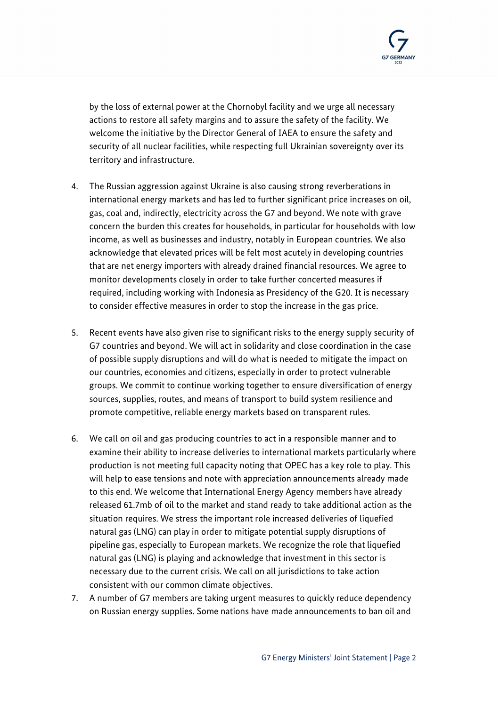

by the loss of external power at the Chornobyl facility and we urge all necessary actions to restore all safety margins and to assure the safety of the facility. We welcome the initiative by the Director General of IAEA to ensure the safety and security of all nuclear facilities, while respecting full Ukrainian sovereignty over its territory and infrastructure.

- 4. The Russian aggression against Ukraine is also causing strong reverberations in international energy markets and has led to further significant price increases on oil, gas, coal and, indirectly, electricity across the G7 and beyond. We note with grave concern the burden this creates for households, in particular for households with low income, as well as businesses and industry, notably in European countries. We also acknowledge that elevated prices will be felt most acutely in developing countries that are net energy importers with already drained financial resources. We agree to monitor developments closely in order to take further concerted measures if required, including working with Indonesia as Presidency of the G20. It is necessary to consider effective measures in order to stop the increase in the gas price.
- 5. Recent events have also given rise to significant risks to the energy supply security of G7 countries and beyond. We will act in solidarity and close coordination in the case of possible supply disruptions and will do what is needed to mitigate the impact on our countries, economies and citizens, especially in order to protect vulnerable groups. We commit to continue working together to ensure diversification of energy sources, supplies, routes, and means of transport to build system resilience and promote competitive, reliable energy markets based on transparent rules.
- 6. We call on oil and gas producing countries to act in a responsible manner and to examine their ability to increase deliveries to international markets particularly where production is not meeting full capacity noting that OPEC has a key role to play. This will help to ease tensions and note with appreciation announcements already made to this end. We welcome that International Energy Agency members have already released 61.7mb of oil to the market and stand ready to take additional action as the situation requires. We stress the important role increased deliveries of liquefied natural gas (LNG) can play in order to mitigate potential supply disruptions of pipeline gas, especially to European markets. We recognize the role that liquefied natural gas (LNG) is playing and acknowledge that investment in this sector is necessary due to the current crisis. We call on all jurisdictions to take action consistent with our common climate objectives.
- 7. A number of G7 members are taking urgent measures to quickly reduce dependency on Russian energy supplies. Some nations have made announcements to ban oil and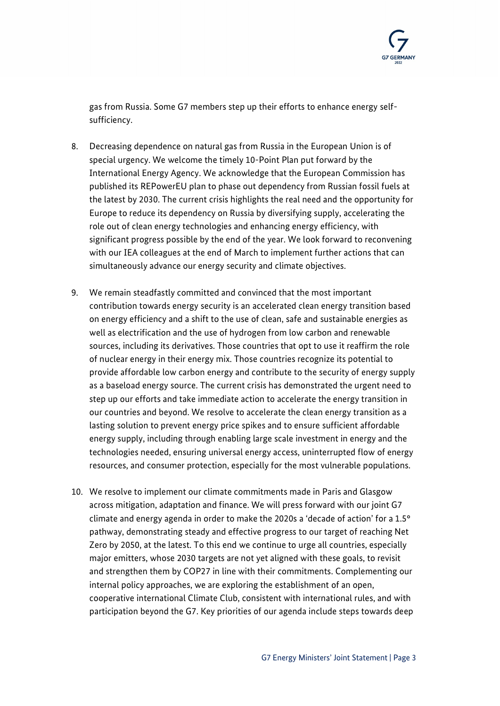

gas from Russia. Some G7 members step up their efforts to enhance energy selfsufficiency.

- 8. Decreasing dependence on natural gas from Russia in the European Union is of special urgency. We welcome the timely 10-Point Plan put forward by the International Energy Agency. We acknowledge that the European Commission has published its REPowerEU plan to phase out dependency from Russian fossil fuels at the latest by 2030. The current crisis highlights the real need and the opportunity for Europe to reduce its dependency on Russia by diversifying supply, accelerating the role out of clean energy technologies and enhancing energy efficiency, with significant progress possible by the end of the year. We look forward to reconvening with our IEA colleagues at the end of March to implement further actions that can simultaneously advance our energy security and climate objectives.
- 9. We remain steadfastly committed and convinced that the most important contribution towards energy security is an accelerated clean energy transition based on energy efficiency and a shift to the use of clean, safe and sustainable energies as well as electrification and the use of hydrogen from low carbon and renewable sources, including its derivatives. Those countries that opt to use it reaffirm the role of nuclear energy in their energy mix. Those countries recognize its potential to provide affordable low carbon energy and contribute to the security of energy supply as a baseload energy source. The current crisis has demonstrated the urgent need to step up our efforts and take immediate action to accelerate the energy transition in our countries and beyond. We resolve to accelerate the clean energy transition as a lasting solution to prevent energy price spikes and to ensure sufficient affordable energy supply, including through enabling large scale investment in energy and the technologies needed, ensuring universal energy access, uninterrupted flow of energy resources, and consumer protection, especially for the most vulnerable populations.
- 10. We resolve to implement our climate commitments made in Paris and Glasgow across mitigation, adaptation and finance. We will press forward with our joint G7 climate and energy agenda in order to make the 2020s a 'decade of action' for a 1.5° pathway, demonstrating steady and effective progress to our target of reaching Net Zero by 2050, at the latest. To this end we continue to urge all countries, especially major emitters, whose 2030 targets are not yet aligned with these goals, to revisit and strengthen them by COP27 in line with their commitments. Complementing our internal policy approaches, we are exploring the establishment of an open, cooperative international Climate Club, consistent with international rules, and with participation beyond the G7. Key priorities of our agenda include steps towards deep